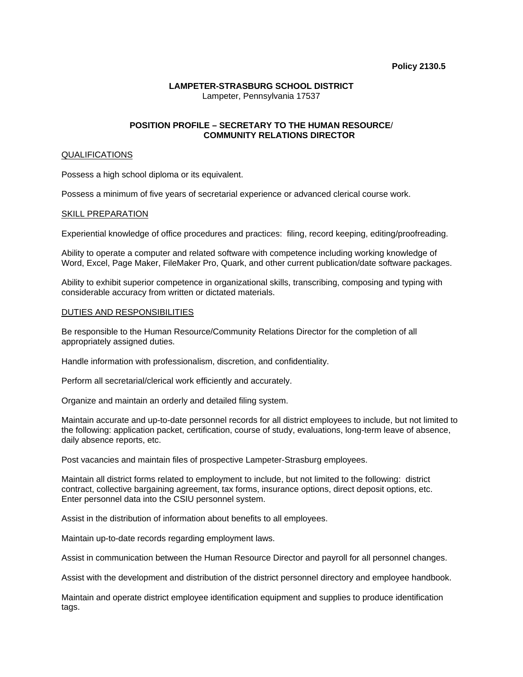#### **Policy 2130.5**

# **LAMPETER-STRASBURG SCHOOL DISTRICT**  Lampeter, Pennsylvania 17537

# **POSITION PROFILE – SECRETARY TO THE HUMAN RESOURCE**/  **COMMUNITY RELATIONS DIRECTOR**

## QUALIFICATIONS

Possess a high school diploma or its equivalent.

Possess a minimum of five years of secretarial experience or advanced clerical course work.

## SKILL PREPARATION

Experiential knowledge of office procedures and practices: filing, record keeping, editing/proofreading.

Ability to operate a computer and related software with competence including working knowledge of Word, Excel, Page Maker, FileMaker Pro, Quark, and other current publication/date software packages.

Ability to exhibit superior competence in organizational skills, transcribing, composing and typing with considerable accuracy from written or dictated materials.

## DUTIES AND RESPONSIBILITIES

Be responsible to the Human Resource/Community Relations Director for the completion of all appropriately assigned duties.

Handle information with professionalism, discretion, and confidentiality.

Perform all secretarial/clerical work efficiently and accurately.

Organize and maintain an orderly and detailed filing system.

Maintain accurate and up-to-date personnel records for all district employees to include, but not limited to the following: application packet, certification, course of study, evaluations, long-term leave of absence, daily absence reports, etc.

Post vacancies and maintain files of prospective Lampeter-Strasburg employees.

Maintain all district forms related to employment to include, but not limited to the following: district contract, collective bargaining agreement, tax forms, insurance options, direct deposit options, etc. Enter personnel data into the CSIU personnel system.

Assist in the distribution of information about benefits to all employees.

Maintain up-to-date records regarding employment laws.

Assist in communication between the Human Resource Director and payroll for all personnel changes.

Assist with the development and distribution of the district personnel directory and employee handbook.

Maintain and operate district employee identification equipment and supplies to produce identification tags.